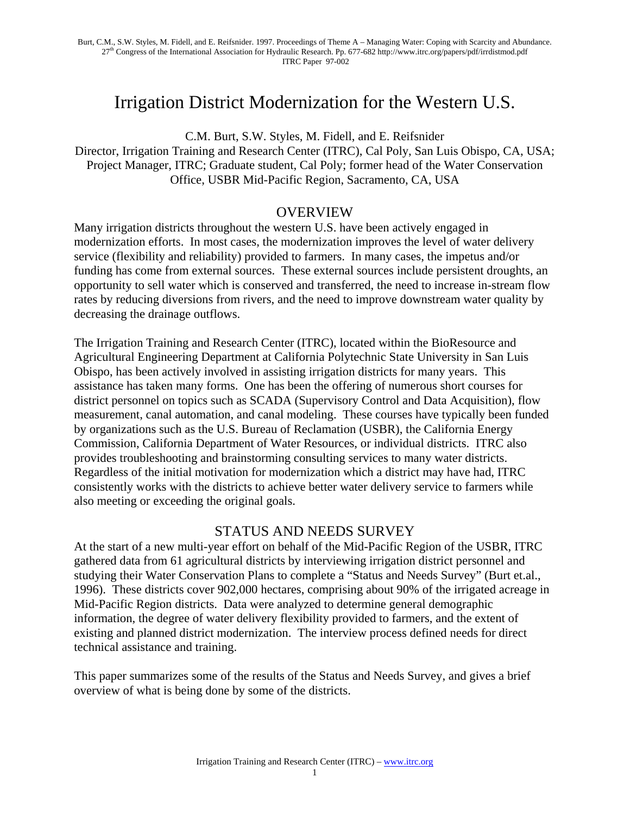# Irrigation District Modernization for the Western U.S.

C.M. Burt, S.W. Styles, M. Fidell, and E. Reifsnider Director, Irrigation Training and Research Center (ITRC), Cal Poly, San Luis Obispo, CA, USA; Project Manager, ITRC; Graduate student, Cal Poly; former head of the Water Conservation Office, USBR Mid-Pacific Region, Sacramento, CA, USA

### OVERVIEW

Many irrigation districts throughout the western U.S. have been actively engaged in modernization efforts. In most cases, the modernization improves the level of water delivery service (flexibility and reliability) provided to farmers. In many cases, the impetus and/or funding has come from external sources. These external sources include persistent droughts, an opportunity to sell water which is conserved and transferred, the need to increase in-stream flow rates by reducing diversions from rivers, and the need to improve downstream water quality by decreasing the drainage outflows.

The Irrigation Training and Research Center (ITRC), located within the BioResource and Agricultural Engineering Department at California Polytechnic State University in San Luis Obispo, has been actively involved in assisting irrigation districts for many years. This assistance has taken many forms. One has been the offering of numerous short courses for district personnel on topics such as SCADA (Supervisory Control and Data Acquisition), flow measurement, canal automation, and canal modeling. These courses have typically been funded by organizations such as the U.S. Bureau of Reclamation (USBR), the California Energy Commission, California Department of Water Resources, or individual districts. ITRC also provides troubleshooting and brainstorming consulting services to many water districts. Regardless of the initial motivation for modernization which a district may have had, ITRC consistently works with the districts to achieve better water delivery service to farmers while also meeting or exceeding the original goals.

## STATUS AND NEEDS SURVEY

At the start of a new multi-year effort on behalf of the Mid-Pacific Region of the USBR, ITRC gathered data from 61 agricultural districts by interviewing irrigation district personnel and studying their Water Conservation Plans to complete a "Status and Needs Survey" (Burt et.al., 1996). These districts cover 902,000 hectares, comprising about 90% of the irrigated acreage in Mid-Pacific Region districts. Data were analyzed to determine general demographic information, the degree of water delivery flexibility provided to farmers, and the extent of existing and planned district modernization. The interview process defined needs for direct technical assistance and training.

This paper summarizes some of the results of the Status and Needs Survey, and gives a brief overview of what is being done by some of the districts.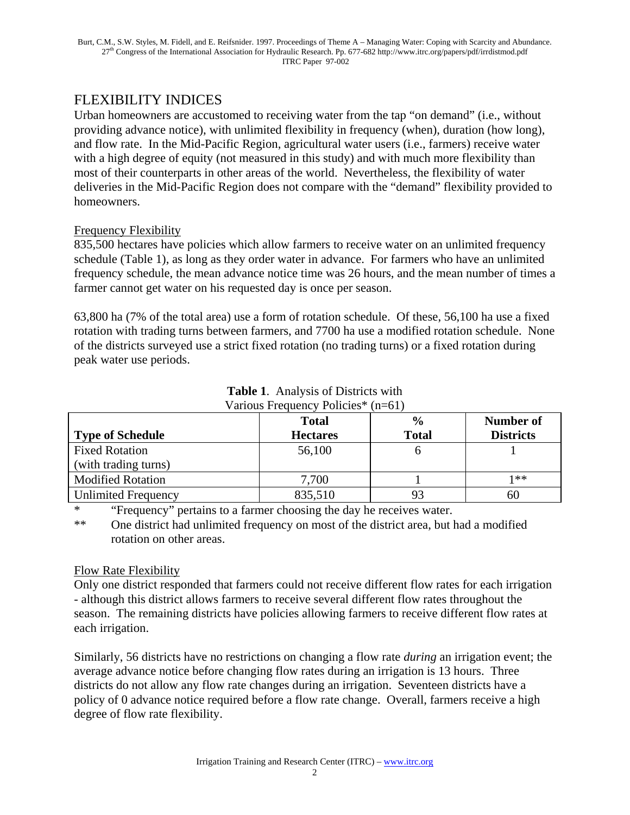# FLEXIBILITY INDICES

Urban homeowners are accustomed to receiving water from the tap "on demand" (i.e., without providing advance notice), with unlimited flexibility in frequency (when), duration (how long), and flow rate. In the Mid-Pacific Region, agricultural water users (i.e., farmers) receive water with a high degree of equity (not measured in this study) and with much more flexibility than most of their counterparts in other areas of the world. Nevertheless, the flexibility of water deliveries in the Mid-Pacific Region does not compare with the "demand" flexibility provided to homeowners.

### Frequency Flexibility

835,500 hectares have policies which allow farmers to receive water on an unlimited frequency schedule (Table 1), as long as they order water in advance. For farmers who have an unlimited frequency schedule, the mean advance notice time was 26 hours, and the mean number of times a farmer cannot get water on his requested day is once per season.

63,800 ha (7% of the total area) use a form of rotation schedule. Of these, 56,100 ha use a fixed rotation with trading turns between farmers, and 7700 ha use a modified rotation schedule. None of the districts surveyed use a strict fixed rotation (no trading turns) or a fixed rotation during peak water use periods.

|                            | <b>Total</b>    | $\frac{0}{0}$ | Number of        |
|----------------------------|-----------------|---------------|------------------|
| <b>Type of Schedule</b>    | <b>Hectares</b> | <b>Total</b>  | <b>Districts</b> |
| <b>Fixed Rotation</b>      | 56,100          |               |                  |
| (with trading turns)       |                 |               |                  |
| <b>Modified Rotation</b>   | 7,700           |               | 1**              |
| <b>Unlimited Frequency</b> | 835,510         |               | bС               |

#### **Table 1**. Analysis of Districts with Various Frequency Policies\* (n=61)

\* "Frequency" pertains to a farmer choosing the day he receives water.

\*\* One district had unlimited frequency on most of the district area, but had a modified rotation on other areas.

## Flow Rate Flexibility

Only one district responded that farmers could not receive different flow rates for each irrigation - although this district allows farmers to receive several different flow rates throughout the season. The remaining districts have policies allowing farmers to receive different flow rates at each irrigation.

Similarly, 56 districts have no restrictions on changing a flow rate *during* an irrigation event; the average advance notice before changing flow rates during an irrigation is 13 hours. Three districts do not allow any flow rate changes during an irrigation. Seventeen districts have a policy of 0 advance notice required before a flow rate change. Overall, farmers receive a high degree of flow rate flexibility.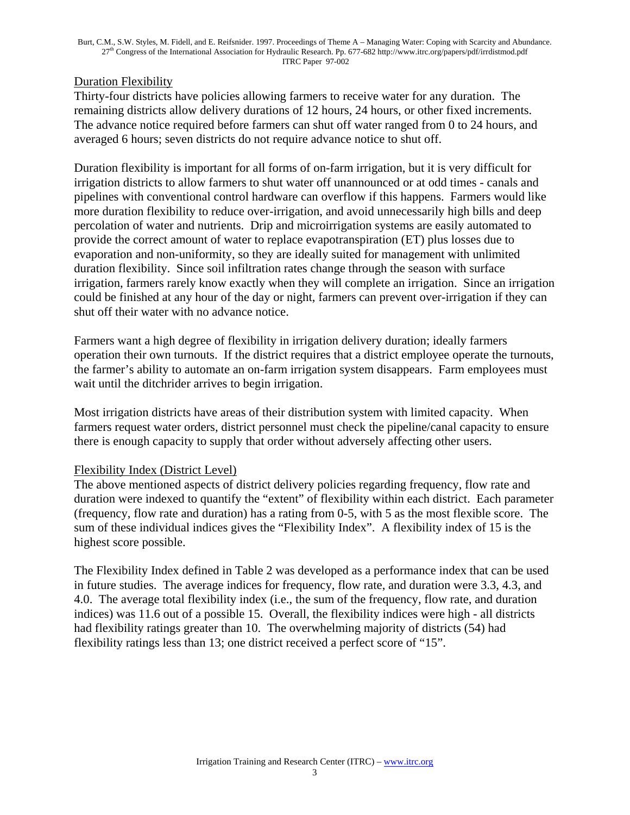#### Burt, C.M., S.W. Styles, M. Fidell, and E. Reifsnider. 1997. Proceedings of Theme A – Managing Water: Coping with Scarcity and Abundance. 27th Congress of the International Association for Hydraulic Research. Pp. 677-682 http://www.itrc.org/papers/pdf/irrdistmod.pdf ITRC Paper 97-002

#### Duration Flexibility

Thirty-four districts have policies allowing farmers to receive water for any duration. The remaining districts allow delivery durations of 12 hours, 24 hours, or other fixed increments. The advance notice required before farmers can shut off water ranged from 0 to 24 hours, and averaged 6 hours; seven districts do not require advance notice to shut off.

Duration flexibility is important for all forms of on-farm irrigation, but it is very difficult for irrigation districts to allow farmers to shut water off unannounced or at odd times - canals and pipelines with conventional control hardware can overflow if this happens. Farmers would like more duration flexibility to reduce over-irrigation, and avoid unnecessarily high bills and deep percolation of water and nutrients. Drip and microirrigation systems are easily automated to provide the correct amount of water to replace evapotranspiration (ET) plus losses due to evaporation and non-uniformity, so they are ideally suited for management with unlimited duration flexibility. Since soil infiltration rates change through the season with surface irrigation, farmers rarely know exactly when they will complete an irrigation. Since an irrigation could be finished at any hour of the day or night, farmers can prevent over-irrigation if they can shut off their water with no advance notice.

Farmers want a high degree of flexibility in irrigation delivery duration; ideally farmers operation their own turnouts. If the district requires that a district employee operate the turnouts, the farmer's ability to automate an on-farm irrigation system disappears. Farm employees must wait until the ditchrider arrives to begin irrigation.

Most irrigation districts have areas of their distribution system with limited capacity. When farmers request water orders, district personnel must check the pipeline/canal capacity to ensure there is enough capacity to supply that order without adversely affecting other users.

#### Flexibility Index (District Level)

The above mentioned aspects of district delivery policies regarding frequency, flow rate and duration were indexed to quantify the "extent" of flexibility within each district. Each parameter (frequency, flow rate and duration) has a rating from 0-5, with 5 as the most flexible score. The sum of these individual indices gives the "Flexibility Index". A flexibility index of 15 is the highest score possible.

The Flexibility Index defined in Table 2 was developed as a performance index that can be used in future studies. The average indices for frequency, flow rate, and duration were 3.3, 4.3, and 4.0. The average total flexibility index (i.e., the sum of the frequency, flow rate, and duration indices) was 11.6 out of a possible 15. Overall, the flexibility indices were high - all districts had flexibility ratings greater than 10. The overwhelming majority of districts (54) had flexibility ratings less than 13; one district received a perfect score of "15".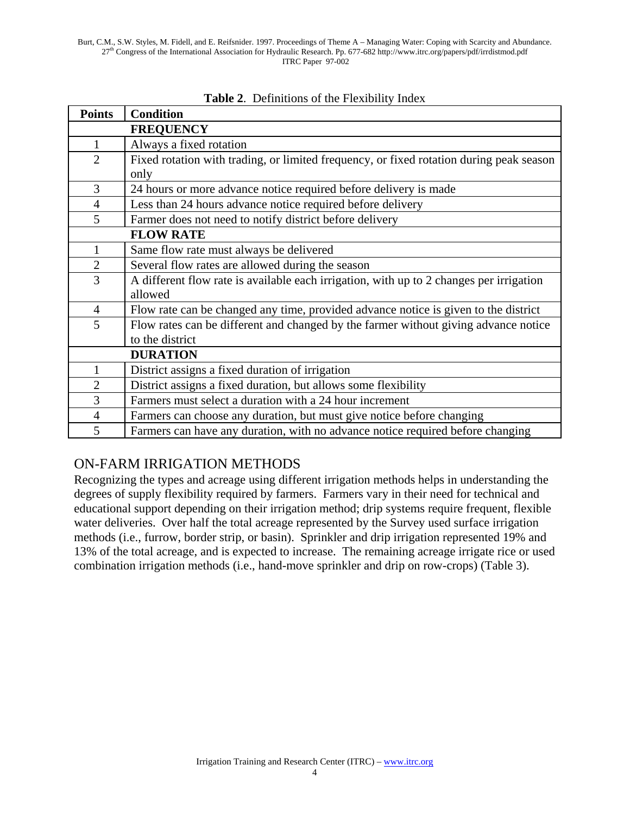| <b>Points</b>    | <b>Condition</b>                                                                        |  |  |
|------------------|-----------------------------------------------------------------------------------------|--|--|
| <b>FREQUENCY</b> |                                                                                         |  |  |
| $\mathbf{1}$     | Always a fixed rotation                                                                 |  |  |
| $\overline{2}$   | Fixed rotation with trading, or limited frequency, or fixed rotation during peak season |  |  |
|                  | only                                                                                    |  |  |
| 3                | 24 hours or more advance notice required before delivery is made                        |  |  |
| $\overline{4}$   | Less than 24 hours advance notice required before delivery                              |  |  |
| 5                | Farmer does not need to notify district before delivery                                 |  |  |
|                  | <b>FLOW RATE</b>                                                                        |  |  |
| 1                | Same flow rate must always be delivered                                                 |  |  |
| $\overline{2}$   | Several flow rates are allowed during the season                                        |  |  |
| 3                | A different flow rate is available each irrigation, with up to 2 changes per irrigation |  |  |
|                  | allowed                                                                                 |  |  |
| $\overline{4}$   | Flow rate can be changed any time, provided advance notice is given to the district     |  |  |
| 5                | Flow rates can be different and changed by the farmer without giving advance notice     |  |  |
|                  | to the district                                                                         |  |  |
|                  | <b>DURATION</b>                                                                         |  |  |
| 1                | District assigns a fixed duration of irrigation                                         |  |  |
| $\overline{2}$   | District assigns a fixed duration, but allows some flexibility                          |  |  |
| 3                | Farmers must select a duration with a 24 hour increment                                 |  |  |
| $\overline{4}$   | Farmers can choose any duration, but must give notice before changing                   |  |  |
| 5                | Farmers can have any duration, with no advance notice required before changing          |  |  |

#### **Table 2**. Definitions of the Flexibility Index

# ON-FARM IRRIGATION METHODS

Recognizing the types and acreage using different irrigation methods helps in understanding the degrees of supply flexibility required by farmers. Farmers vary in their need for technical and educational support depending on their irrigation method; drip systems require frequent, flexible water deliveries. Over half the total acreage represented by the Survey used surface irrigation methods (i.e., furrow, border strip, or basin). Sprinkler and drip irrigation represented 19% and 13% of the total acreage, and is expected to increase. The remaining acreage irrigate rice or used combination irrigation methods (i.e., hand-move sprinkler and drip on row-crops) (Table 3).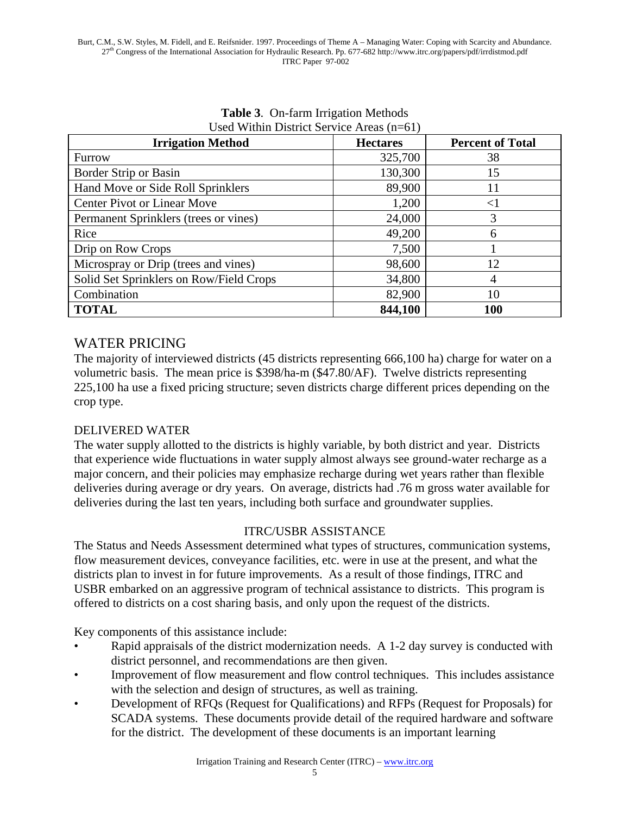| <b>Irrigation Method</b>                | <b>Hectares</b> | <b>Percent of Total</b> |
|-----------------------------------------|-----------------|-------------------------|
| Furrow                                  | 325,700         | 38                      |
| Border Strip or Basin                   | 130,300         | 15                      |
| Hand Move or Side Roll Sprinklers       | 89,900          | 11                      |
| <b>Center Pivot or Linear Move</b>      | 1,200           | $<$ 1                   |
| Permanent Sprinklers (trees or vines)   | 24,000          | 3                       |
| Rice                                    | 49,200          | 6                       |
| Drip on Row Crops                       | 7,500           |                         |
| Microspray or Drip (trees and vines)    | 98,600          | 12                      |
| Solid Set Sprinklers on Row/Field Crops | 34,800          | 4                       |
| Combination                             | 82,900          | 10                      |
| <b>TOTAL</b>                            | 844,100         | <b>100</b>              |

#### **Table 3**. On-farm Irrigation Methods Used Within District Service Areas (n=61)

# WATER PRICING

The majority of interviewed districts (45 districts representing 666,100 ha) charge for water on a volumetric basis. The mean price is \$398/ha-m (\$47.80/AF). Twelve districts representing 225,100 ha use a fixed pricing structure; seven districts charge different prices depending on the crop type.

### DELIVERED WATER

The water supply allotted to the districts is highly variable, by both district and year. Districts that experience wide fluctuations in water supply almost always see ground-water recharge as a major concern, and their policies may emphasize recharge during wet years rather than flexible deliveries during average or dry years. On average, districts had .76 m gross water available for deliveries during the last ten years, including both surface and groundwater supplies.

### ITRC/USBR ASSISTANCE

The Status and Needs Assessment determined what types of structures, communication systems, flow measurement devices, conveyance facilities, etc. were in use at the present, and what the districts plan to invest in for future improvements. As a result of those findings, ITRC and USBR embarked on an aggressive program of technical assistance to districts. This program is offered to districts on a cost sharing basis, and only upon the request of the districts.

Key components of this assistance include:

- Rapid appraisals of the district modernization needs. A 1-2 day survey is conducted with district personnel, and recommendations are then given.
- Improvement of flow measurement and flow control techniques. This includes assistance with the selection and design of structures, as well as training.
- Development of RFQs (Request for Qualifications) and RFPs (Request for Proposals) for SCADA systems. These documents provide detail of the required hardware and software for the district. The development of these documents is an important learning